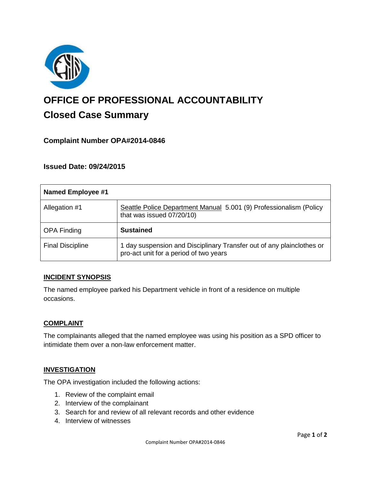

# **OFFICE OF PROFESSIONAL ACCOUNTABILITY Closed Case Summary**

# **Complaint Number OPA#2014-0846**

# **Issued Date: 09/24/2015**

| <b>Named Employee #1</b> |                                                                                                                 |
|--------------------------|-----------------------------------------------------------------------------------------------------------------|
| Allegation #1            | Seattle Police Department Manual 5.001 (9) Professionalism (Policy<br>that was issued 07/20/10)                 |
| <b>OPA Finding</b>       | <b>Sustained</b>                                                                                                |
| <b>Final Discipline</b>  | 1 day suspension and Disciplinary Transfer out of any plainclothes or<br>pro-act unit for a period of two years |

# **INCIDENT SYNOPSIS**

The named employee parked his Department vehicle in front of a residence on multiple occasions.

#### **COMPLAINT**

The complainants alleged that the named employee was using his position as a SPD officer to intimidate them over a non-law enforcement matter.

# **INVESTIGATION**

The OPA investigation included the following actions:

- 1. Review of the complaint email
- 2. Interview of the complainant
- 3. Search for and review of all relevant records and other evidence
- 4. Interview of witnesses